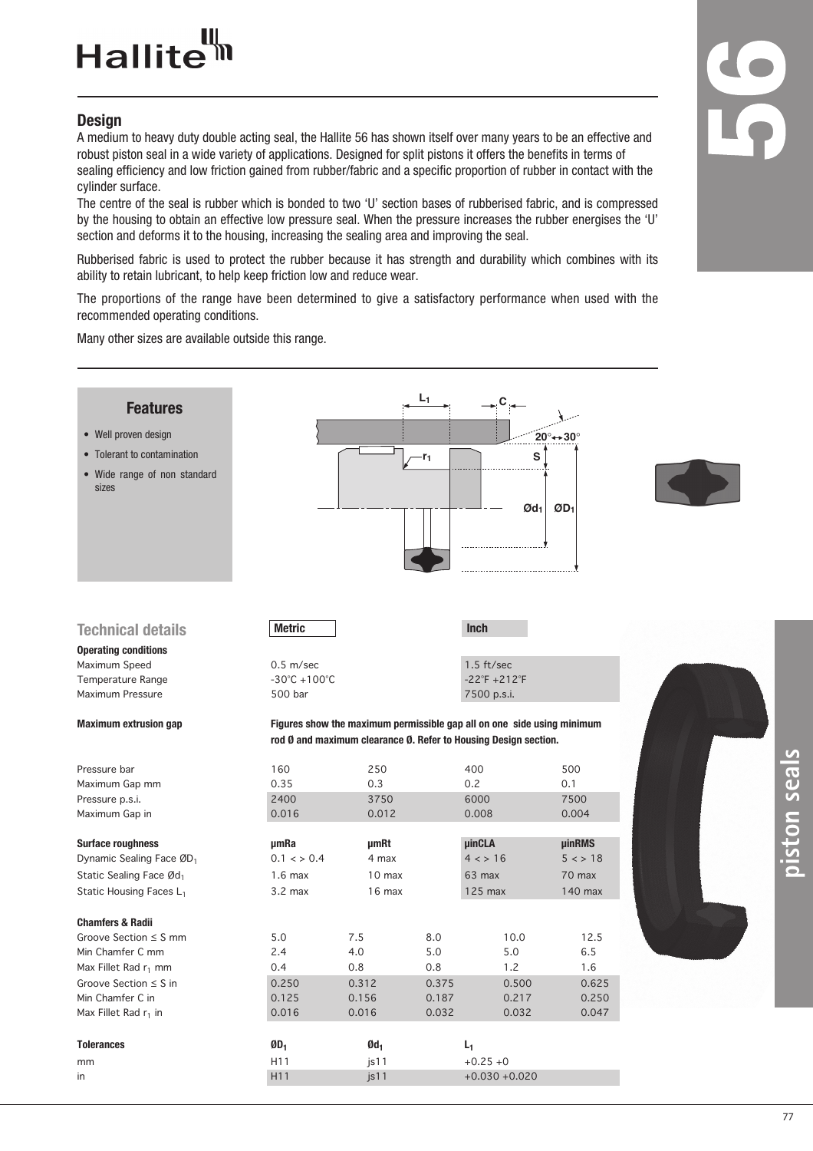## Hallite<sup>tt</sup>

#### **Design**

A medium to heavy duty double acting seal, the Hallite 56 has shown itself over many years to be an effective and robust piston seal in a wide variety of applications. Designed for split pistons it offers the benefits in terms of sealing efficiency and low friction gained from rubber/fabric and a specific proportion of rubber in contact with the cylinder surface.

The centre of the seal is rubber which is bonded to two 'U' section bases of rubberised fabric, and is compressed by the housing to obtain an effective low pressure seal. When the pressure increases the rubber energises the 'U' section and deforms it to the housing, increasing the sealing area and improving the seal.

Rubberised fabric is used to protect the rubber because it has strength and durability which combines with its ability to retain lubricant, to help keep friction low and reduce wear.

The proportions of the range have been determined to give a satisfactory performance when used with the recommended operating conditions.

Many other sizes are available outside this range.

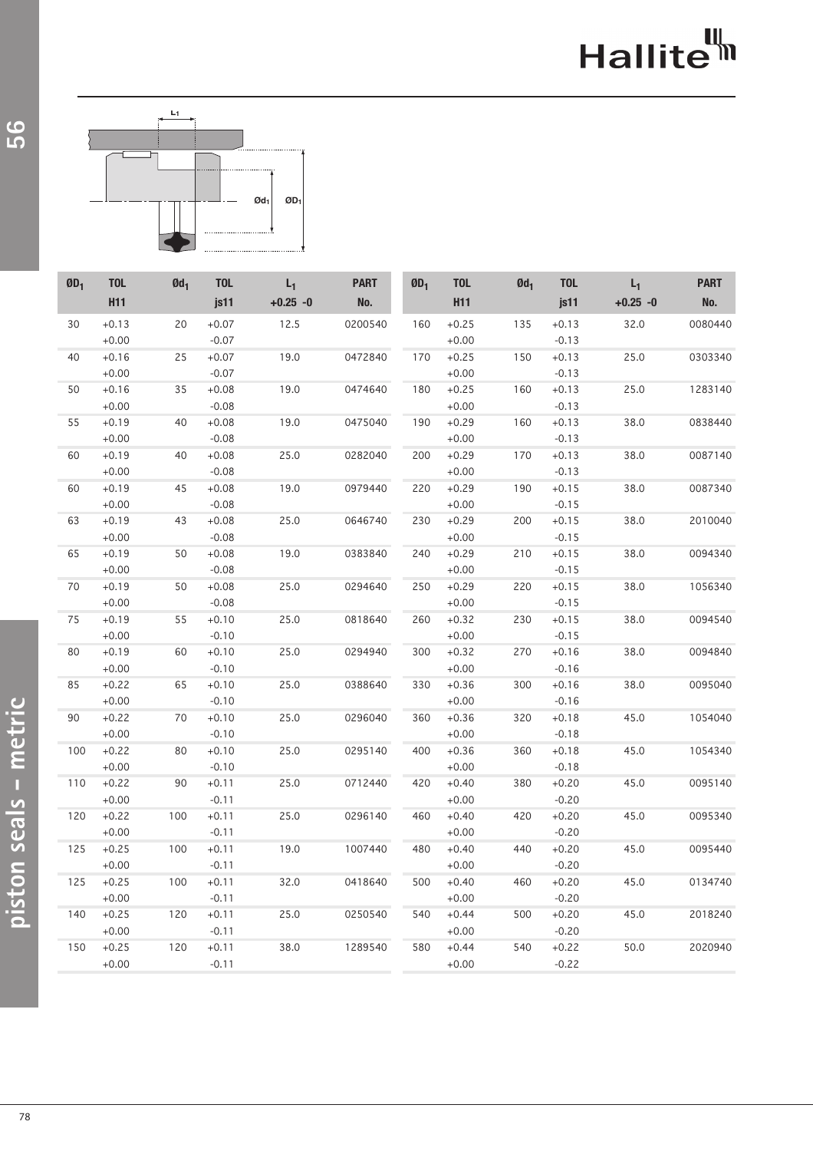## Hallite<sup>th</sup>



| $\mathbf{0}\mathbf{D}_1$ | <b>TOL</b> | $Qd_1$ | <b>TOL</b> | $L_1$      | <b>PART</b> | $\mathbf{0}\mathbf{D}_1$ | <b>TOL</b> | $Qd_1$ | <b>TOL</b> | $L_1$      | <b>PART</b> |
|--------------------------|------------|--------|------------|------------|-------------|--------------------------|------------|--------|------------|------------|-------------|
|                          | <b>H11</b> |        | js11       | $+0.25 -0$ | No.         |                          | <b>H11</b> |        | js11       | $+0.25 -0$ | No.         |
| 30                       | $+0.13$    | $20\,$ | $+0.07$    | 12.5       | 0200540     | 160                      | $+0.25$    | 135    | $+0.13$    | 32.0       | 0080440     |
|                          | $+0.00$    |        | $-0.07$    |            |             |                          | $+0.00$    |        | $-0.13$    |            |             |
| 40                       | $+0.16$    | 25     | $+0.07$    | 19.0       | 0472840     | 170                      | $+0.25$    | 150    | $+0.13$    | 25.0       | 0303340     |
|                          | $+0.00$    |        | $-0.07$    |            |             |                          | $+0.00$    |        | $-0.13$    |            |             |
| 50                       | $+0.16$    | 35     | $+0.08$    | 19.0       | 0474640     | 180                      | $+0.25$    | 160    | $+0.13$    | 25.0       | 1283140     |
|                          | $+0.00$    |        | $-0.08$    |            |             |                          | $+0.00$    |        | $-0.13$    |            |             |
| 55                       | $+0.19$    | 40     | $+0.08$    | 19.0       | 0475040     | 190                      | $+0.29$    | 160    | $+0.13$    | 38.0       | 0838440     |
|                          | $+0.00$    |        | $-0.08$    |            |             |                          | $+0.00$    |        | $-0.13$    |            |             |
| 60                       | $+0.19$    | 40     | $+0.08$    | 25.0       | 0282040     | 200                      | $+0.29$    | 170    | $+0.13$    | 38.0       | 0087140     |
|                          | $+0.00$    |        | $-0.08$    |            |             |                          | $+0.00$    |        | $-0.13$    |            |             |
| 60                       | $+0.19$    | 45     | $+0.08$    | 19.0       | 0979440     | 220                      | $+0.29$    | 190    | $+0.15$    | 38.0       | 0087340     |
|                          | $+0.00$    |        | $-0.08$    |            |             |                          | $+0.00$    |        | $-0.15$    |            |             |
| 63                       | $+0.19$    | 43     | $+0.08$    | 25.0       | 0646740     | 230                      | $+0.29$    | 200    | $+0.15$    | 38.0       | 2010040     |
|                          | $+0.00$    |        | $-0.08$    |            |             |                          | $+0.00$    |        | $-0.15$    |            |             |
| 65                       | $+0.19$    | 50     | $+0.08$    | 19.0       | 0383840     | 240                      | $+0.29$    | 210    | $+0.15$    | 38.0       | 0094340     |
|                          | $+0.00$    |        | $-0.08$    |            |             |                          | $+0.00$    |        | $-0.15$    |            |             |
| 70                       | $+0.19$    | 50     | $+0.08$    | 25.0       | 0294640     | 250                      | $+0.29$    | 220    | $+0.15$    | 38.0       | 1056340     |
|                          | $+0.00$    |        | $-0.08$    |            |             |                          | $+0.00$    |        | $-0.15$    |            |             |
| 75                       | $+0.19$    | 55     | $+0.10$    | 25.0       | 0818640     | 260                      | $+0.32$    | 230    | $+0.15$    | 38.0       | 0094540     |
|                          | $+0.00$    |        | $-0.10$    |            |             |                          | $+0.00$    |        | $-0.15$    |            |             |
| 80                       | $+0.19$    | 60     | $+0.10$    | 25.0       | 0294940     | 300                      | $+0.32$    | 270    | $+0.16$    | 38.0       | 0094840     |
|                          | $+0.00$    |        | $-0.10$    |            |             |                          | $+0.00$    |        | $-0.16$    |            |             |
| 85                       | $+0.22$    | 65     | $+0.10$    | 25.0       | 0388640     | 330                      | $+0.36$    | 300    | $+0.16$    | 38.0       | 0095040     |
|                          | $+0.00$    |        | $-0.10$    |            |             |                          | $+0.00$    |        | $-0.16$    |            |             |
| 90                       | $+0.22$    | 70     | $+0.10$    | 25.0       | 0296040     | 360                      | $+0.36$    | 320    | $+0.18$    | 45.0       | 1054040     |
|                          | $+0.00$    |        | $-0.10$    |            |             |                          | $+0.00$    |        | $-0.18$    |            |             |
| 100                      | $+0.22$    | 80     | $+0.10$    | 25.0       | 0295140     | 400                      | $+0.36$    | 360    | $+0.18$    | 45.0       | 1054340     |
|                          | $+0.00$    |        | $-0.10$    |            |             |                          | $+0.00$    |        | $-0.18$    |            |             |
| 110                      | $+0.22$    | 90     | $+0.11$    | 25.0       | 0712440     | 420                      | $+0.40$    | 380    | $+0.20$    | 45.0       | 0095140     |
|                          | $+0.00$    |        | $-0.11$    |            |             |                          | $+0.00$    |        | $-0.20$    |            |             |
| 120                      | $+0.22$    | 100    | $+0.11$    | 25.0       | 0296140     | 460                      | $+0.40$    | 420    | $+0.20$    | 45.0       | 0095340     |
|                          | $+0.00$    |        | $-0.11$    |            |             |                          | $+0.00$    |        | $-0.20$    |            |             |
| 125                      | $+0.25$    | 100    | $+0.11$    | 19.0       | 1007440     | 480                      | $+0.40$    | 440    | $+0.20$    | 45.0       | 0095440     |
|                          | $+0.00$    |        | $-0.11$    |            |             |                          | $+0.00$    |        | $-0.20$    |            |             |
| 125                      | $+0.25$    | 100    | $+0.11$    | 32.0       | 0418640     | 500                      | $+0.40$    | 460    | $+0.20$    | 45.0       | 0134740     |
|                          | $+0.00$    |        | $-0.11$    |            |             |                          | $+0.00$    |        | $-0.20$    |            |             |
| 140                      | $+0.25$    | 120    | $+0.11$    | 25.0       | 0250540     | 540                      | $+0.44$    | 500    | $+0.20$    | 45.0       | 2018240     |
|                          | $+0.00$    |        | $-0.11$    |            |             |                          | $+0.00$    |        | $-0.20$    |            |             |
| 150                      | $+0.25$    | 120    | $+0.11$    | 38.0       | 1289540     | 580                      | $+0.44$    | 540    | $+0.22$    | 50.0       | 2020940     |
|                          | $+0.00$    |        | $-0.11$    |            |             |                          | $+0.00$    |        | $-0.22$    |            |             |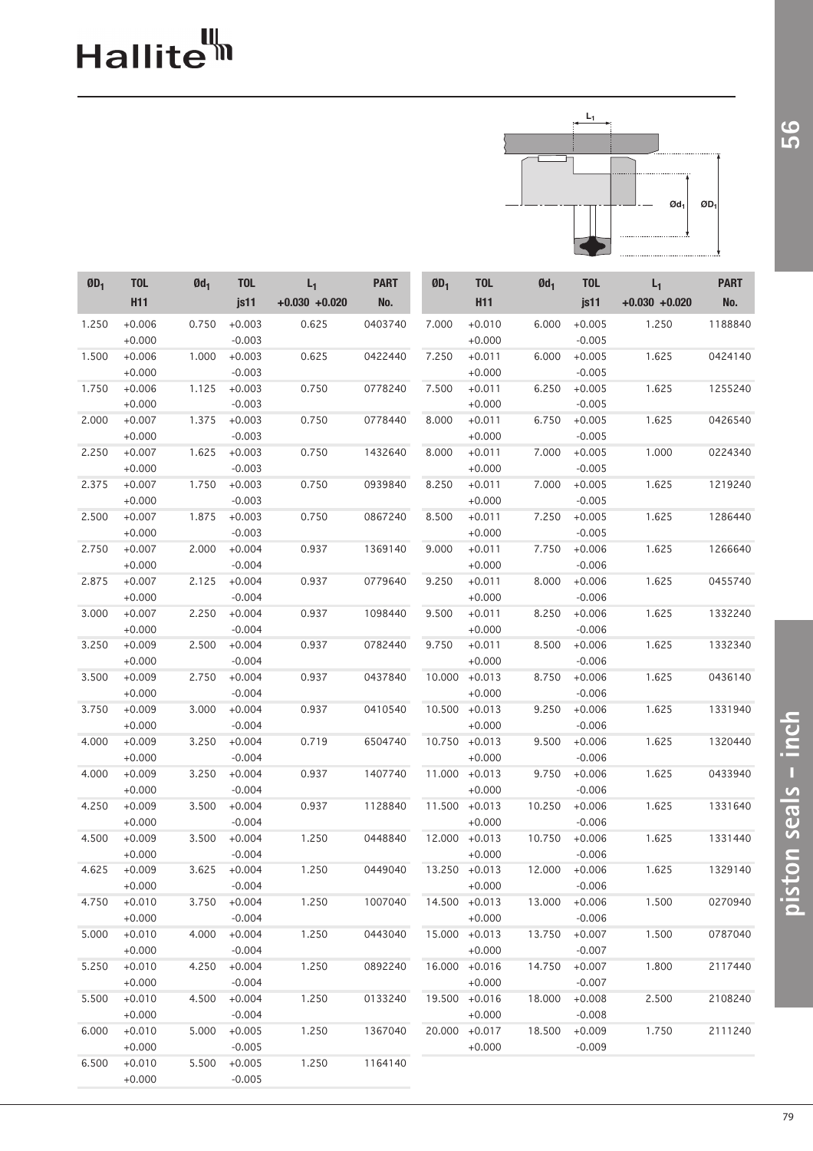# Hallite<sup>th</sup>



| $ØD_1$ | <b>TOL</b>           | $Qd_1$ | <b>TOL</b>           | $L_1$           | <b>PART</b> | ØD <sub>1</sub> | <b>TOL</b>           | $Qd_1$ | <b>TOL</b>           | $L_1$            | <b>PART</b> |
|--------|----------------------|--------|----------------------|-----------------|-------------|-----------------|----------------------|--------|----------------------|------------------|-------------|
|        | <b>H11</b>           |        | js11                 | $+0.030 +0.020$ | No.         |                 | <b>H11</b>           |        | js11                 | $+0.030 + 0.020$ | No.         |
| 1.250  | $+0.006$<br>$+0.000$ | 0.750  | $+0.003$<br>$-0.003$ | 0.625           | 0403740     | 7.000           | $+0.010$<br>$+0.000$ | 6.000  | $+0.005$<br>$-0.005$ | 1.250            | 1188840     |
| 1.500  | $+0.006$             | 1.000  | $+0.003$             | 0.625           | 0422440     | 7.250           | $+0.011$             | 6.000  | $+0.005$             | 1.625            | 0424140     |
|        | $+0.000$             |        | $-0.003$             |                 |             |                 | $+0.000$             |        | $-0.005$             |                  |             |
| 1.750  | $+0.006$             | 1.125  | $+0.003$             | 0.750           | 0778240     | 7.500           | $+0.011$             | 6.250  | $+0.005$             | 1.625            | 1255240     |
|        | $+0.000$             |        | $-0.003$             |                 |             |                 | $+0.000$             |        | $-0.005$             |                  |             |
| 2.000  | $+0.007$             | 1.375  | $+0.003$             | 0.750           | 0778440     | 8.000           | $+0.011$             | 6.750  | $+0.005$             | 1.625            | 0426540     |
|        | $+0.000$             |        | $-0.003$             |                 |             |                 | $+0.000$             |        | $-0.005$             |                  |             |
| 2.250  | $+0.007$             | 1.625  | $+0.003$             | 0.750           | 1432640     | 8.000           | $+0.011$             | 7.000  | $+0.005$             | 1.000            | 0224340     |
|        | $+0.000$             |        | $-0.003$             |                 |             |                 | $+0.000$             |        | $-0.005$             |                  |             |
| 2.375  | $+0.007$             | 1.750  | $+0.003$             | 0.750           | 0939840     | 8.250           | $+0.011$             | 7.000  | $+0.005$             | 1.625            | 1219240     |
|        | $+0.000$             |        | $-0.003$             |                 |             |                 | $+0.000$             |        | $-0.005$             |                  |             |
| 2.500  | $+0.007$             | 1.875  | $+0.003$             | 0.750           | 0867240     | 8.500           | $+0.011$             | 7.250  | $+0.005$             | 1.625            | 1286440     |
|        | $+0.000$             |        | $-0.003$             |                 |             |                 | $+0.000$             |        | $-0.005$             |                  |             |
| 2.750  | $+0.007$             | 2.000  | $+0.004$             | 0.937           | 1369140     | 9.000           | $+0.011$             | 7.750  | $+0.006$             | 1.625            | 1266640     |
|        | $+0.000$             |        | $-0.004$             |                 |             |                 | $+0.000$             |        | $-0.006$             |                  |             |
| 2.875  | $+0.007$             | 2.125  | $+0.004$             | 0.937           | 0779640     | 9.250           | $+0.011$             | 8.000  | $+0.006$             | 1.625            | 0455740     |
|        | $+0.000$             |        | $-0.004$             |                 |             |                 | $+0.000$             |        | $-0.006$             |                  |             |
| 3.000  | $+0.007$             | 2.250  | $+0.004$             | 0.937           | 1098440     | 9.500           | $+0.011$             | 8.250  | $+0.006$             | 1.625            | 1332240     |
|        | $+0.000$             |        | $-0.004$             |                 |             |                 | $+0.000$             |        | $-0.006$             |                  |             |
| 3.250  | $+0.009$             | 2.500  | $+0.004$             | 0.937           | 0782440     | 9.750           | $+0.011$             | 8.500  | $+0.006$             | 1.625            | 1332340     |
|        | $+0.000$             |        | $-0.004$             |                 |             |                 | $+0.000$             |        | $-0.006$             |                  |             |
| 3.500  | $+0.009$             | 2.750  | $+0.004$             | 0.937           | 0437840     | 10.000          | $+0.013$             | 8.750  | $+0.006$             | 1.625            | 0436140     |
|        | $+0.000$             |        | $-0.004$             |                 |             |                 | $+0.000$             |        | $-0.006$             |                  |             |
| 3.750  | $+0.009$             | 3.000  | $+0.004$             | 0.937           | 0410540     | 10.500          | $+0.013$             | 9.250  | $+0.006$             | 1.625            | 1331940     |
|        | $+0.000$             |        | $-0.004$             |                 |             |                 | $+0.000$             |        | $-0.006$             |                  |             |
| 4.000  | $+0.009$             | 3.250  | $+0.004$             | 0.719           | 6504740     | 10.750          | $+0.013$             | 9.500  | $+0.006$             | 1.625            | 1320440     |
|        | $+0.000$             |        | $-0.004$             |                 |             |                 | $+0.000$             |        | $-0.006$             |                  |             |
| 4.000  | $+0.009$             | 3.250  | $+0.004$             | 0.937           | 1407740     | 11.000          | $+0.013$             | 9.750  | $+0.006$             | 1.625            | 0433940     |
|        | $+0.000$             |        | $-0.004$             |                 |             |                 | $+0.000$             |        | $-0.006$             |                  |             |
| 4.250  | $+0.009$             | 3.500  | $+0.004$             | 0.937           | 1128840     | 11.500          | $+0.013$             | 10.250 | $+0.006$             | 1.625            | 1331640     |
|        | $+0.000$             |        | $-0.004$             |                 |             |                 | $+0.000$             |        | $-0.006$             |                  |             |
| 4.500  | $+0.009$             | 3.500  | $+0.004$             | 1.250           | 0448840     |                 | 12.000 +0.013        | 10.750 | $+0.006$             | 1.625            | 1331440     |
|        | $+0.000$             |        | $-0.004$             |                 |             |                 | $+0.000$             |        | $-0.006$             |                  |             |
| 4.625  | $+0.009$             | 3.625  | $+0.004$             | 1.250           | 0449040     |                 | 13.250 +0.013        | 12.000 | $+0.006$             | 1.625            | 1329140     |
|        | $+0.000$             |        | $-0.004$             |                 |             |                 | $+0.000$             |        | $-0.006$             |                  |             |
| 4.750  | $+0.010$             | 3.750  | $+0.004$             | 1.250           | 1007040     |                 | 14.500 +0.013        | 13.000 | $+0.006$             | 1.500            | 0270940     |
|        | $+0.000$             |        | $-0.004$             |                 |             |                 | $+0.000$             |        | $-0.006$             |                  |             |
| 5.000  | $+0.010$             | 4.000  | $+0.004$             | 1.250           | 0443040     |                 | 15.000 +0.013        | 13.750 | $+0.007$             | 1.500            | 0787040     |
|        | $+0.000$             |        | $-0.004$             |                 |             |                 | $+0.000$             |        | $-0.007$             |                  |             |
| 5.250  | $+0.010$             | 4.250  | $+0.004$             | 1.250           | 0892240     | 16.000 +0.016   |                      | 14.750 | $+0.007$             | 1.800            | 2117440     |
|        | $+0.000$             |        | $-0.004$             |                 |             |                 | $+0.000$             |        | $-0.007$             |                  |             |
| 5.500  | $+0.010$             | 4.500  | $+0.004$             | 1.250           | 0133240     | 19.500 +0.016   |                      | 18.000 | $+0.008$             | 2.500            | 2108240     |
|        | $+0.000$             |        | $-0.004$             |                 |             |                 | $+0.000$             |        | $-0.008$             |                  |             |
| 6.000  | $+0.010$             | 5.000  | $+0.005$             | 1.250           | 1367040     |                 | 20.000 +0.017        | 18.500 | $+0.009$             | 1.750            | 2111240     |
|        | $+0.000$             |        | $-0.005$             |                 |             |                 | $+0.000$             |        | $-0.009$             |                  |             |
| 6.500  | $+0.010$             | 5.500  | $+0.005$             | 1.250           | 1164140     |                 |                      |        |                      |                  |             |
|        | $+0.000$             |        | $-0.005$             |                 |             |                 |                      |        |                      |                  |             |

56